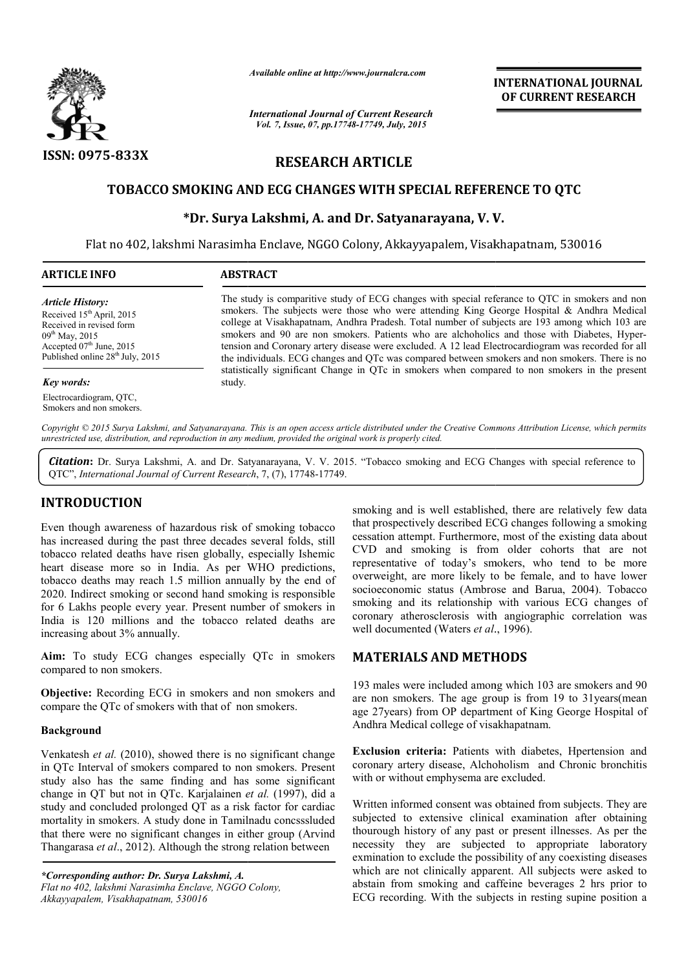

*Available online at http://www.journalcra.com*

*International Journal of Current Research Vol. 7, Issue, 07, pp.17748-17749, July, 2015*

**INTERNATIONAL INTERNATIONAL JOURNAL OF CURRENT RESEARCH** 

# **RESEARCH ARTICLE**

## **TOBACCO SMOKING AND ECG CHANGE CHANGES WITH SPECIAL REFERENCE TO QTC S REFERENCE TO**

## **\*Dr. Surya Lakshmi, A. Dr. and Dr. Satyanarayana, V. V.**

Flat no 402, lakshmi Narasimha Enclave, NGGO Colony, Akkayyapalem, Visakhapatnam, 530016

| <b>ARTICLE INFO</b>                                       | <b>ABSTRACT</b>                                                                                                                                                                                                                                                                                  |  |
|-----------------------------------------------------------|--------------------------------------------------------------------------------------------------------------------------------------------------------------------------------------------------------------------------------------------------------------------------------------------------|--|
| Article History:<br>Received 15 <sup>th</sup> April, 2015 | The study is comparitive study of ECG changes with special referance to QTC in smokers and non<br>smokers. The subjects were those who were attending King George Hospital $\&$ Andhra Medical<br>college at Visakhanatnam. Andhra Pradesh. Total number of subjects are 193 among which 103 are |  |

Received in revised form  $09^{th}$  May, 2015 Accepted  $07<sup>th</sup>$  June, 2015 Published online  $28^{th}$  July, 2015

#### *Key words:*

Electrocardiogram, QTC, Smokers and non smokers.

college at Visakhapatnam, Andhra Pradesh. Total number of subjects are 193 among which 103 are The study is comparitive study of ECG changes with special referance to QTC in smokers and non smokers. The subjects were those who were attending King George Hospital & Andhra Medical college at Visakhapatnam, Andhra Prad tension and Coronary artery disease were excluded. A 12 lead Electrocardiogram was recorded for all the individuals. ECG changes and QTc was compared between smokers and non smokers. There is no statistically significant Change in QTc in smokers when compared to non smokers in the present study. ion and Coronary artery disease were excluded. A 12 lead Electrocardiogram was recorded for all individuals. ECG changes and QTc was compared between smokers and non smokers. There is no istically significant Change in QTc

*Copyright © 2015 Surya Lakshmi, and Satyanarayana. This is an open access article distributed under the Creative Commons Att Attribution License, which permits unrestricted use, distribution, and reproduction in any medium, provided the original work is properly cited.*

Citation: Dr. Surya Lakshmi, A. and Dr. Satyanarayana, V. V. 2015. "Tobacco smoking and ECG Changes with special reference to QTC", International Journal of Current Research, 7, (7), 17748-17749.

## **INTRODUCTION**

Even though awareness of hazardous risk of smoking tobacco has increased during the past three decades several folds, still tobacco related deaths have risen globally, especially Ishemic heart disease more so in India. As per WHO predictions, tobacco deaths may reach 1.5 million annually by the end of 2020. Indirect smoking or second hand smoking is responsible for 6 Lakhs people every year. Present number of smokers in India is 120 millions and the tobacco related deaths are increasing about 3% annually.

**Aim:** To study ECG changes especially QTc in smokers compared to non smokers. India is 120 millions and the tobacco related deal<br>increasing about 3% annually.<br>**Aim:** To study ECG changes especially QTc in<br>compared to non smokers.<br>**Objective:** Recording ECG in smokers and non smol<br>compare the QTc of

**Objective:** Recording ECG in smokers and non smokers and

#### **Background**

Venkatesh *et al.* (2010), showed there is no significant change in QTc Interval of smokers compared to non smokers. Present study also has the same finding and has some significant change in QT but not in QTc. Karjalainen *et al al.* (1997), did a study and concluded prolonged QT as a risk factor for cardiac mortality in smokers. A study done in Tamilnadu concsssluded that there were no significant changes in either group ( (Arvind Thangarasa *et al*., 2012). Although the strong relation between

*\*Corresponding author: Dr. Surya Lakshmi, A. Flat no 402, lakshmi Narasimha Enclave, NGGO Colony, Akkayyapalem, Visakhapatnam, 530016*

smoking and is well established, there are relatively few data that prospectively described ECG changes following a smoking cessation attempt. Furthermore, most of the existing data about CVD and smoking is from older cohorts that are not representative of today's smokers, who tend to be more overweight, are more likely to be female, and to have lower socioeconomic status (Ambrose and Barua, 2004). Tobacco smoking and its relationship with various ECG changes of smoking and its relationship with various ECG changes of coronary atherosclerosis with angiographic correlation was well documented (Waters *et al*., 1996). cessation attempt. Furthermore, most of the existing data about CVD and smoking is from older cohorts that are not representative of today's smokers, who tend to be more overweight, are more likely to be female, and to hav **INTERNATIONAL JOURNAL FORMATIONAL JOURNAL CONVERTS (CHERENT RESEARCH CONVERTS (CHERENT RESEARCH AND FITS (DESTREMENT RESEARCH AND FITS (FOR CHERENTS (CHERENTS) (CHERENTS) (CHERENTS) (CHERENTS) (CHERENTS) (CHERENTS) (CHER** 

### **MATERIALS AND METHODS METHODS**

193 males were included among which 103 are smokers and 90 are non smokers. The age group is from 19 to 31years(mean age 27years) from OP department of King George Hospital of Andhra Medical college of visakhapatnam. 93 males were included among which 103 are smokers and 90<br>re non smokers. The age group is from 19 to 31years(mean<br>ge 27years) from OP department of King George Hospital of<br>ndhra Medical college of visakhapatnam.<br>Cx**clusio** 

**Exclusion criteria:** Patients with diabetes, Hpertension and coronary artery disease, Alchoholism and Chronic bronchitis with or without emphysema are excluded.

Written informed consent was obtained from subjects. They are subjected to extensive clinical examination after obtaining thourough history of any past or present illnesses. As per the necessity they are subjected to appropriate laboratory exmination to exclude the possibility of any coexisting diseases which are not clinically apparent. All subjects were asked to abstain from smoking and caffeine beverages 2 hrs prior to ECG recording. With the subjects in resting supine position a ed to extensive clinical examination after obtaining<br>ugh history of any past or present illnesses. As per the<br>ty they are subjected to appropriate laboratory<br>tion to exclude the possibility of any coexisting diseases<br>are n